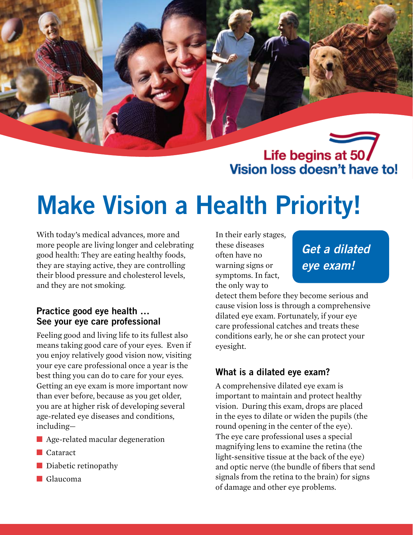Life begins at 50 Vision loss doesn't have to!

# **Make Vision a Health Priority!**

With today's medical advances, more and more people are living longer and celebrating good health: They are eating healthy foods, they are staying active, they are controlling their blood pressure and cholesterol levels, and they are not smoking.

#### **Practice good eye health … See your eye care professional**

Feeling good and living life to its fullest also means taking good care of your eyes. Even if you enjoy relatively good vision now, visiting your eye care professional once a year is the best thing you can do to care for your eyes. Getting an eye exam is more important now than ever before, because as you get older, you are at higher risk of developing several age-related eye diseases and conditions, including—

- Age-related macular degeneration
- Cataract
- Diabetic retinopathy
- Glaucoma

In their early stages, these diseases often have no warning signs or symptoms. In fact, the only way to

*Get a dilated eye exam!*

detect them before they become serious and cause vision loss is through a comprehensive dilated eye exam. Fortunately, if your eye care professional catches and treats these conditions early, he or she can protect your eyesight.

## **What is a dilated eye exam?**

A comprehensive dilated eye exam is important to maintain and protect healthy vision. During this exam, drops are placed in the eyes to dilate or widen the pupils (the round opening in the center of the eye). The eye care professional uses a special magnifying lens to examine the retina (the light-sensitive tissue at the back of the eye) and optic nerve (the bundle of fibers that send signals from the retina to the brain) for signs of damage and other eye problems.